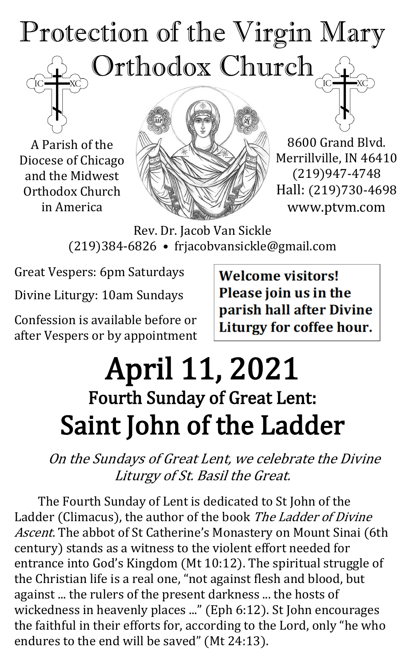# Protection of the Virgin Mary Orthodox Church

A Parish of the Diocese of Chicago and the Midwest Orthodox Church in America



8600 Grand Blvd. Merrillville, IN 46410 (219)947-4748 Hall: (219)730-4698 www.ptvm.com

Rev. Dr. Jacob Van Sickle (219)384-6826 • frjacobvansickle@gmail.com

Great Vespers: 6pm Saturdays

Divine Liturgy: 10am Sundays

Confession is available before or after Vespers or by appointment **Welcome visitors!** Please join us in the parish hall after Divine Liturgy for coffee hour.

## April 11, 2021 Fourth Sunday of Great Lent: Saint John of the Ladder

On the Sundays of Great Lent, we celebrate the Divine Liturgy of St. Basil the Great.

The Fourth Sunday of Lent is dedicated to St John of the Ladder (Climacus), the author of the book The Ladder of Divine Ascent. The abbot of St Catherine's Monastery on Mount Sinai (6th century) stands as a witness to the violent effort needed for entrance into God's Kingdom (Mt 10:12). The spiritual struggle of the Christian life is a real one, "not against flesh and blood, but against ... the rulers of the present darkness ... the hosts of wickedness in heavenly places ..." (Eph 6:12). St John encourages the faithful in their efforts for, according to the Lord, only "he who endures to the end will be saved" (Mt 24:13).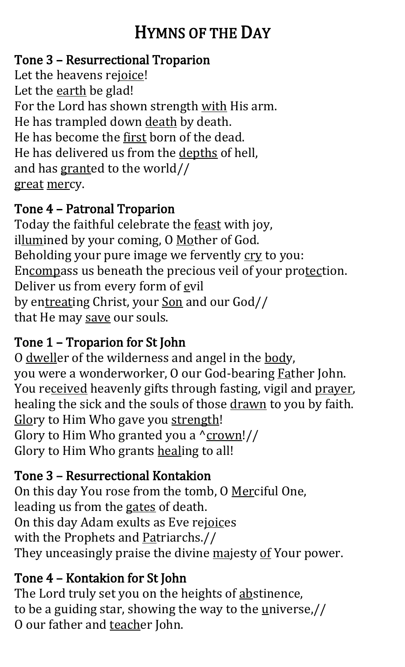## HYMNS OF THE DAY

#### Tone 3 – Resurrectional Troparion

Let the heavens rejoice! Let the earth be glad! For the Lord has shown strength with His arm. He has trampled down death by death. He has become the first born of the dead. He has delivered us from the depths of hell, and has granted to the world// great mercy.

#### Tone 4 – Patronal Troparion

Today the faithful celebrate the feast with joy, illumined by your coming, O Mother of God. Beholding your pure image we fervently cry to you: Encompass us beneath the precious veil of your protection. Deliver us from every form of evil by entreating Christ, your Son and our God// that He may save our souls.

#### Tone 1 – Troparion for St John

O dweller of the wilderness and angel in the body, you were a wonderworker, O our God-bearing Father John. You received heavenly gifts through fasting, vigil and prayer, healing the sick and the souls of those drawn to you by faith. Glory to Him Who gave you strength! Glory to Him Who granted you a  $\frac{\gamma}{\gamma}$ Glory to Him Who grants healing to all!

#### Tone 3 – Resurrectional Kontakion

On this day You rose from the tomb, O Merciful One, leading us from the gates of death. On this day Adam exults as Eve rejoices with the Prophets and Patriarchs.// They unceasingly praise the divine majesty of Your power.

#### Tone 4 – Kontakion for St John

The Lord truly set you on the heights of abstinence, to be a guiding star, showing the way to the  $\frac{u}{u}$ niverse,// O our father and teacher John.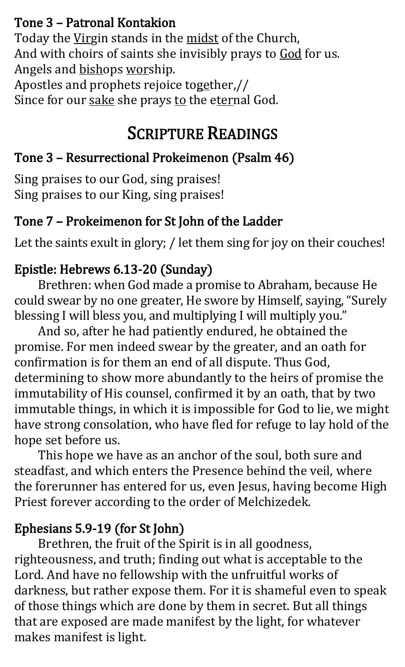#### Tone 3 – Patronal Kontakion

Today the Virgin stands in the midst of the Church, And with choirs of saints she invisibly prays to God for us. Angels and bishops worship. Apostles and prophets rejoice together,//

Since for our sake she prays to the eternal God.

## SCRIPTURE READINGS

## Tone 3 – Resurrectional Prokeimenon (Psalm 46)

Sing praises to our God, sing praises! Sing praises to our King, sing praises!

## Tone 7 – Prokeimenon for St John of the Ladder

Let the saints exult in glory; / let them sing for joy on their couches!

#### Epistle: Hebrews 6.13-20 (Sunday)

Brethren: when God made a promise to Abraham, because He could swear by no one greater, He swore by Himself, saying, "Surely blessing I will bless you, and multiplying I will multiply you."

And so, after he had patiently endured, he obtained the promise. For men indeed swear by the greater, and an oath for confirmation is for them an end of all dispute. Thus God, determining to show more abundantly to the heirs of promise the immutability of His counsel, confirmed it by an oath, that by two immutable things, in which it is impossible for God to lie, we might have strong consolation, who have fled for refuge to lay hold of the hope set before us.

This hope we have as an anchor of the soul, both sure and steadfast, and which enters the Presence behind the veil, where the forerunner has entered for us, even Jesus, having become High Priest forever according to the order of Melchizedek.

## Ephesians 5.9-19 (for St John)

Brethren, the fruit of the Spirit is in all goodness, righteousness, and truth; finding out what is acceptable to the Lord. And have no fellowship with the unfruitful works of darkness, but rather expose them. For it is shameful even to speak of those things which are done by them in secret. But all things that are exposed are made manifest by the light, for whatever makes manifest is light.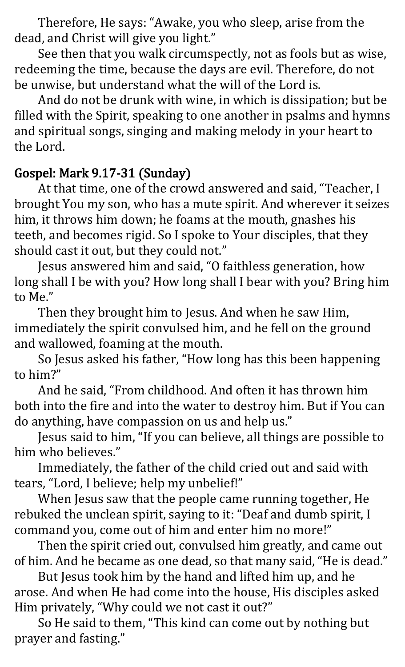Therefore, He says: "Awake, you who sleep, arise from the dead, and Christ will give you light."

See then that you walk circumspectly, not as fools but as wise, redeeming the time, because the days are evil. Therefore, do not be unwise, but understand what the will of the Lord is.

And do not be drunk with wine, in which is dissipation; but be filled with the Spirit, speaking to one another in psalms and hymns and spiritual songs, singing and making melody in your heart to the Lord.

#### Gospel: Mark 9.17-31 (Sunday)

At that time, one of the crowd answered and said, "Teacher, I brought You my son, who has a mute spirit. And wherever it seizes him, it throws him down; he foams at the mouth, gnashes his teeth, and becomes rigid. So I spoke to Your disciples, that they should cast it out, but they could not."

Jesus answered him and said, "O faithless generation, how long shall I be with you? How long shall I bear with you? Bring him to Me."

Then they brought him to Jesus. And when he saw Him, immediately the spirit convulsed him, and he fell on the ground and wallowed, foaming at the mouth.

So Jesus asked his father, "How long has this been happening to him?"

And he said, "From childhood. And often it has thrown him both into the fire and into the water to destroy him. But if You can do anything, have compassion on us and help us."

Jesus said to him, "If you can believe, all things are possible to him who believes."

Immediately, the father of the child cried out and said with tears, "Lord, I believe; help my unbelief!"

When Jesus saw that the people came running together, He rebuked the unclean spirit, saying to it: "Deaf and dumb spirit, I command you, come out of him and enter him no more!"

Then the spirit cried out, convulsed him greatly, and came out of him. And he became as one dead, so that many said, "He is dead."

But Jesus took him by the hand and lifted him up, and he arose. And when He had come into the house, His disciples asked Him privately, "Why could we not cast it out?"

So He said to them, "This kind can come out by nothing but prayer and fasting."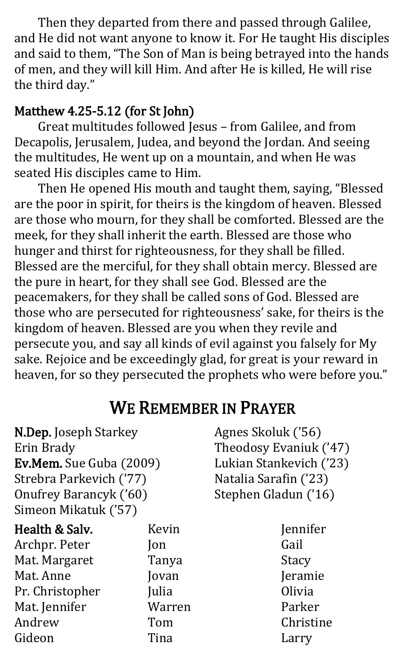Then they departed from there and passed through Galilee, and He did not want anyone to know it. For He taught His disciples and said to them, "The Son of Man is being betrayed into the hands of men, and they will kill Him. And after He is killed, He will rise the third day."

#### Matthew 4.25-5.12 (for St John)

Great multitudes followed Jesus – from Galilee, and from Decapolis, Jerusalem, Judea, and beyond the Jordan. And seeing the multitudes, He went up on a mountain, and when He was seated His disciples came to Him.

Then He opened His mouth and taught them, saying, "Blessed are the poor in spirit, for theirs is the kingdom of heaven. Blessed are those who mourn, for they shall be comforted. Blessed are the meek, for they shall inherit the earth. Blessed are those who hunger and thirst for righteousness, for they shall be filled. Blessed are the merciful, for they shall obtain mercy. Blessed are the pure in heart, for they shall see God. Blessed are the peacemakers, for they shall be called sons of God. Blessed are those who are persecuted for righteousness' sake, for theirs is the kingdom of heaven. Blessed are you when they revile and persecute you, and say all kinds of evil against you falsely for My sake. Rejoice and be exceedingly glad, for great is your reward in heaven, for so they persecuted the prophets who were before you."

## WE REMEMBER IN PRAYER

N.Dep. Joseph Starkey Erin Brady Ev.Mem. Sue Guba (2009) Strebra Parkevich ('77) Onufrey Barancyk ('60) Simeon Mikatuk ('57)

| Health & Salv.  | Kevin  |
|-----------------|--------|
| Archpr. Peter   | Jon    |
| Mat. Margaret   | Tanya  |
| Mat. Anne       | Jovan  |
| Pr. Christopher | Julia  |
| Mat. Jennifer   | Warren |
| Andrew          | Tom    |
| Gideon          | Tina   |

Agnes Skoluk ('56) Theodosy Evaniuk ('47) Lukian Stankevich ('23) Natalia Sarafin ('23) Stephen Gladun ('16)

> Jennifer Gail Stacy Jeramie Olivia Parker Christine Larry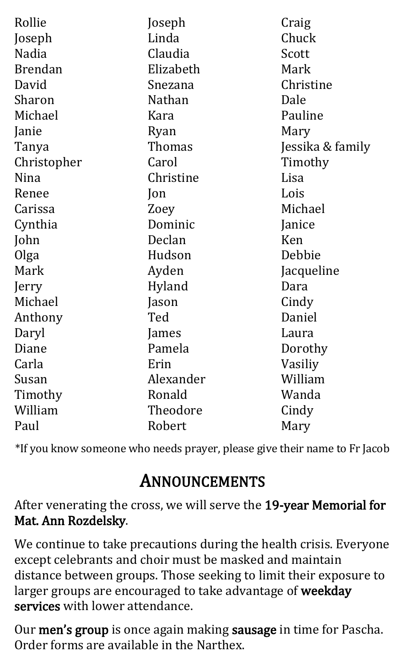| Rollie         | Joseph        | Craig            |
|----------------|---------------|------------------|
| Joseph         | Linda         | Chuck            |
| <b>Nadia</b>   | Claudia       | Scott            |
| <b>Brendan</b> | Elizabeth     | Mark             |
| David          | Snezana       | Christine        |
| Sharon         | <b>Nathan</b> | Dale             |
| Michael        | Kara          | Pauline          |
| Janie          | Ryan          | Mary             |
| Tanya          | Thomas        | Jessika & family |
| Christopher    | Carol         | Timothy          |
| Nina           | Christine     | Lisa             |
| Renee          | $\lceil$ on   | Lois             |
| Carissa        | Zoey          | Michael          |
| Cynthia        | Dominic       | Janice           |
| John           | Declan        | Ken              |
| Olga           | Hudson        | Debbie           |
| Mark           | Ayden         | Jacqueline       |
| Jerry          | Hyland        | Dara             |
| Michael        | Jason         | Cindy            |
| Anthony        | Ted           | Daniel           |
| Daryl          | James         | Laura            |
| Diane          | Pamela        | Dorothy          |
| Carla          | Erin          | Vasiliy          |
| Susan          | Alexander     | William          |
| Timothy        | Ronald        | Wanda            |
| William        | Theodore      | Cindy            |
| Paul           | Robert        | Mary             |

\*If you know someone who needs prayer, please give their name to Fr Jacob

## ANNOUNCEMENTS

After venerating the cross, we will serve the 19-year Memorial for Mat. Ann Rozdelsky.

We continue to take precautions during the health crisis. Everyone except celebrants and choir must be masked and maintain distance between groups. Those seeking to limit their exposure to larger groups are encouraged to take advantage of weekday services with lower attendance.

Our men's group is once again making sausage in time for Pascha. Order forms are available in the Narthex.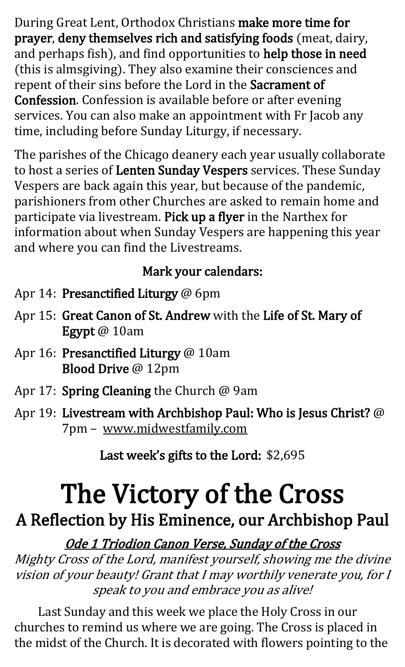During Great Lent, Orthodox Christians make more time for prayer, deny themselves rich and satisfying foods (meat, dairy, and perhaps fish), and find opportunities to help those in need (this is almsgiving). They also examine their consciences and repent of their sins before the Lord in the Sacrament of Confession. Confession is available before or after evening services. You can also make an appointment with Fr Jacob any time, including before Sunday Liturgy, if necessary.

The parishes of the Chicago deanery each year usually collaborate to host a series of Lenten Sunday Vespers services. These Sunday Vespers are back again this year, but because of the pandemic, parishioners from other Churches are asked to remain home and participate via livestream. Pick up a flyer in the Narthex for information about when Sunday Vespers are happening this year and where you can find the Livestreams.

#### Mark your calendars:

- Apr 14: Presanctified Liturgy @ 6pm
- Apr 15: Great Canon of St. Andrew with the Life of St. Mary of Egypt @ 10am
- Apr 16: Presanctified Liturgy @ 10am Blood Drive @ 12pm
- Apr 17: Spring Cleaning the Church @ 9am
- Apr 19: Livestream with Archbishop Paul: Who is Jesus Christ? @ 7pm – www.midwestfamily.com

Last week's gifts to the Lord: \$2,695

## The Victory of the Cross

## A Reflection by His Eminence, our Archbishop Paul

Ode 1 Triodion Canon Verse, Sunday of the Cross Mighty Cross of the Lord, manifest yourself, showing me the divine vision of your beauty! Grant that I may worthily venerate you, for I speak to you and embrace you as alive!

Last Sunday and this week we place the Holy Cross in our churches to remind us where we are going. The Cross is placed in the midst of the Church. It is decorated with flowers pointing to the